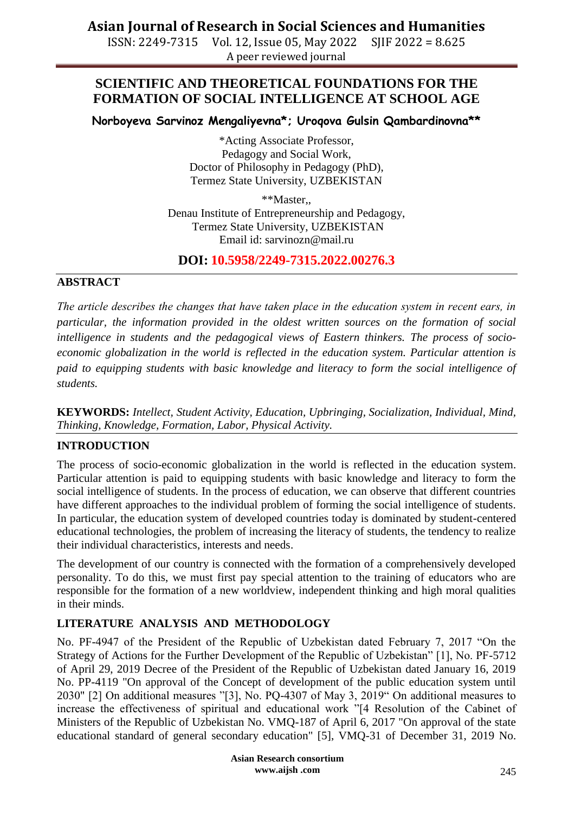ISSN: 2249-7315 Vol. 12, Issue 05, May 2022 SJIF 2022 = 8.625 A peer reviewed journal

## **SCIENTIFIC AND THEORETICAL FOUNDATIONS FOR THE FORMATION OF SOCIAL INTELLIGENCE AT SCHOOL AGE**

**Norboyeva Sarvinoz Mengaliyevna\*; Uroqova Gulsin Qambardinovna\*\***

\*Acting Associate Professor, Pedagogy and Social Work, Doctor of Philosophy in Pedagogy (PhD), Termez State University, UZBEKISTAN

\*\*Master,, Denau Institute of Entrepreneurship and Pedagogy, Termez State University, UZBEKISTAN Email id: sarvinozn@mail.ru

## **DOI: 10.5958/2249-7315.2022.00276.3**

#### **ABSTRACT**

*The article describes the changes that have taken place in the education system in recent еars, in particular, the information provided in the oldest written sources on the formation of social intelligence in students and the pedagogical views of Eastern thinkers. The process of socioeconomic globalization in the world is reflected in the education system. Particular attention is paid to equipping students with basic knowledge and literacy to form the social intelligence of students.*

**KEYWORDS:** *Intellect, Student Activity, Education, Upbringing, Socialization, Individual, Mind, Thinking, Knowledge, Formation, Labor, Physical Activity.*

### **INTRODUCTION**

The process of socio-economic globalization in the world is reflected in the education system. Particular attention is paid to equipping students with basic knowledge and literacy to form the social intelligence of students. In the process of education, we can observe that different countries have different approaches to the individual problem of forming the social intelligence of students. In particular, the education system of developed countries today is dominated by student-centered educational technologies, the problem of increasing the literacy of students, the tendency to realize their individual characteristics, interests and needs.

The development of our country is connected with the formation of a comprehensively developed personality. To do this, we must first pay special attention to the training of educators who are responsible for the formation of a new worldview, independent thinking and high moral qualities in their minds.

### **LITERATURE ANALYSIS AND METHODOLOGY**

No. PF-4947 of the President of the Republic of Uzbekistan dated February 7, 2017 "On the Strategy of Actions for the Further Development of the Republic of Uzbekistan" [1], No. PF-5712 of April 29, 2019 Decree of the President of the Republic of Uzbekistan dated January 16, 2019 No. PP-4119 "On approval of the Concept of development of the public education system until 2030" [2] On additional measures "[3], No. PQ-4307 of May 3, 2019" On additional measures to increase the effectiveness of spiritual and educational work "[4 Resolution of the Cabinet of Ministers of the Republic of Uzbekistan No. VMQ-187 of April 6, 2017 "On approval of the state educational standard of general secondary education" [5], VMQ-31 of December 31, 2019 No.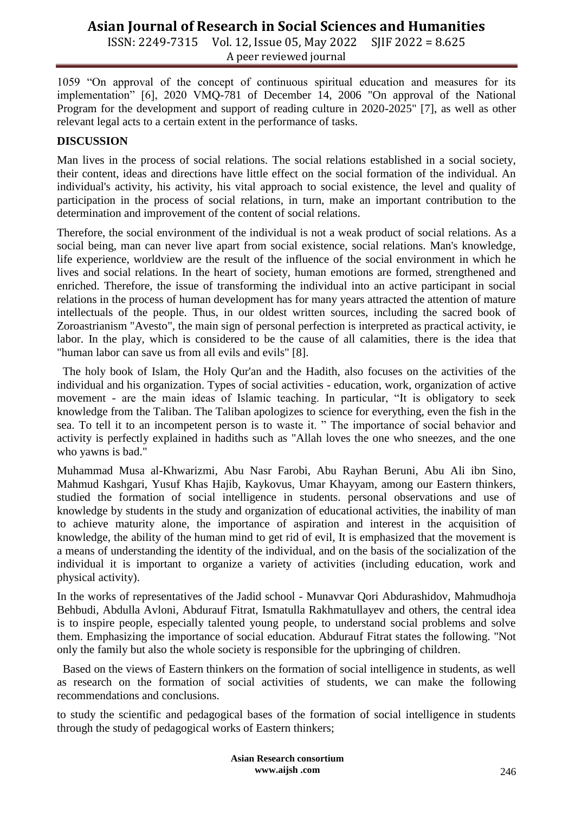ISSN: 2249-7315 Vol. 12, Issue 05, May 2022 SJIF 2022 = 8.625 A peer reviewed journal

1059 "On approval of the concept of continuous spiritual education and measures for its implementation" [6], 2020 VMQ-781 of December 14, 2006 "On approval of the National Program for the development and support of reading culture in 2020-2025" [7], as well as other relevant legal acts to a certain extent in the performance of tasks.

#### **DISCUSSION**

Man lives in the process of social relations. The social relations established in a social society, their content, ideas and directions have little effect on the social formation of the individual. An individual's activity, his activity, his vital approach to social existence, the level and quality of participation in the process of social relations, in turn, make an important contribution to the determination and improvement of the content of social relations.

Therefore, the social environment of the individual is not a weak product of social relations. As a social being, man can never live apart from social existence, social relations. Man's knowledge, life experience, worldview are the result of the influence of the social environment in which he lives and social relations. In the heart of society, human emotions are formed, strengthened and enriched. Therefore, the issue of transforming the individual into an active participant in social relations in the process of human development has for many years attracted the attention of mature intellectuals of the people. Thus, in our oldest written sources, including the sacred book of Zoroastrianism "Avesto", the main sign of personal perfection is interpreted as practical activity, ie labor. In the play, which is considered to be the cause of all calamities, there is the idea that "human labor can save us from all evils and evils" [8].

 The holy book of Islam, the Holy Qur'an and the Hadith, also focuses on the activities of the individual and his organization. Types of social activities - education, work, organization of active movement - are the main ideas of Islamic teaching. In particular, "It is obligatory to seek knowledge from the Taliban. The Taliban apologizes to science for everything, even the fish in the sea. To tell it to an incompetent person is to waste it. " The importance of social behavior and activity is perfectly explained in hadiths such as "Allah loves the one who sneezes, and the one who yawns is bad."

Muhammad Musa al-Khwarizmi, Abu Nasr Farobi, Abu Rayhan Beruni, Abu Ali ibn Sino, Mahmud Kashgari, Yusuf Khas Hajib, Kaykovus, Umar Khayyam, among our Eastern thinkers, studied the formation of social intelligence in students. personal observations and use of knowledge by students in the study and organization of educational activities, the inability of man to achieve maturity alone, the importance of aspiration and interest in the acquisition of knowledge, the ability of the human mind to get rid of evil, It is emphasized that the movement is a means of understanding the identity of the individual, and on the basis of the socialization of the individual it is important to organize a variety of activities (including education, work and physical activity).

In the works of representatives of the Jadid school - Munavvar Qori Abdurashidov, Mahmudhoja Behbudi, Abdulla Avloni, Abdurauf Fitrat, Ismatulla Rakhmatullayev and others, the central idea is to inspire people, especially talented young people, to understand social problems and solve them. Emphasizing the importance of social education. Abdurauf Fitrat states the following. "Not only the family but also the whole society is responsible for the upbringing of children.

 Based on the views of Eastern thinkers on the formation of social intelligence in students, as well as research on the formation of social activities of students, we can make the following recommendations and conclusions.

to study the scientific and pedagogical bases of the formation of social intelligence in students through the study of pedagogical works of Eastern thinkers;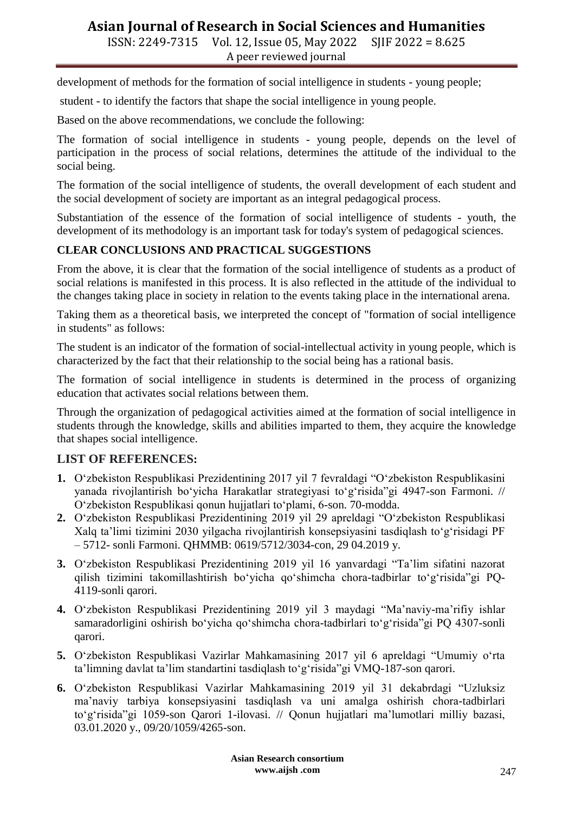ISSN: 2249-7315 Vol. 12, Issue 05, May 2022 SJIF 2022 = 8.625 A peer reviewed journal

development of methods for the formation of social intelligence in students - young people;

student - to identify the factors that shape the social intelligence in young people.

Based on the above recommendations, we conclude the following:

The formation of social intelligence in students - young people, depends on the level of participation in the process of social relations, determines the attitude of the individual to the social being.

The formation of the social intelligence of students, the overall development of each student and the social development of society are important as an integral pedagogical process.

Substantiation of the essence of the formation of social intelligence of students - youth, the development of its methodology is an important task for today's system of pedagogical sciences.

#### **CLEAR CONCLUSIONS AND PRACTICAL SUGGESTIONS**

From the above, it is clear that the formation of the social intelligence of students as a product of social relations is manifested in this process. It is also reflected in the attitude of the individual to the changes taking place in society in relation to the events taking place in the international arena.

Taking them as a theoretical basis, we interpreted the concept of "formation of social intelligence in students" as follows:

The student is an indicator of the formation of social-intellectual activity in young people, which is characterized by the fact that their relationship to the social being has a rational basis.

The formation of social intelligence in students is determined in the process of organizing education that activates social relations between them.

Through the organization of pedagogical activities aimed at the formation of social intelligence in students through the knowledge, skills and abilities imparted to them, they acquire the knowledge that shapes social intelligence.

### **LIST OF REFERENCES:**

- **1.** O"zbekiston Respublikasi Prezidentining 2017 yil 7 fevraldagi "O"zbekiston Respublikasini yanada rivojlantirish bo"yicha Harakatlar strategiyasi to"g"risida"gi 4947-son Farmoni. // O"zbekiston Respublikasi qonun hujjatlari to"plami, 6-son. 70-modda.
- **2.** O"zbekiston Respublikasi Prezidentining 2019 yil 29 apreldagi "O"zbekiston Respublikasi Xalq ta"limi tizimini 2030 yilgacha rivojlantirish konsepsiyasini tasdiqlash to"g"risidagi PF – 5712- sonli Farmoni. QHMMB: 0619/5712/3034-con, 29 04.2019 y.
- **3.** O"zbekiston Respublikasi Prezidentining 2019 yil 16 yanvardagi "Ta"lim sifatini nazorat qilish tizimini takomillashtirish bo"yicha qo"shimcha chora-tadbirlar to"g"risida"gi PQ-4119-sonli qarori.
- **4.** O"zbekiston Respublikasi Prezidentining 2019 yil 3 maydagi "Ma"naviy-ma"rifiy ishlar samaradorligini oshirish bo'yicha qo'shimcha chora-tadbirlari to'g'risida"gi PQ 4307-sonli qarori.
- **5.** O"zbekiston Respublikasi Vazirlar Mahkamasining 2017 yil 6 apreldagi "Umumiy o"rta ta'limning davlat ta'lim standartini tasdiqlash to'g'risida"gi VMQ-187-son qarori.
- **6.** O"zbekiston Respublikasi Vazirlar Mahkamasining 2019 yil 31 dekabrdagi "Uzluksiz ma"naviy tarbiya konsepsiyasini tasdiqlash va uni amalga oshirish chora-tadbirlari to"g"risida"gi 1059-son Qarori 1-ilovasi. // Qonun hujjatlari ma"lumotlari milliy bazasi, 03.01.2020 y., 09/20/1059/4265-son.